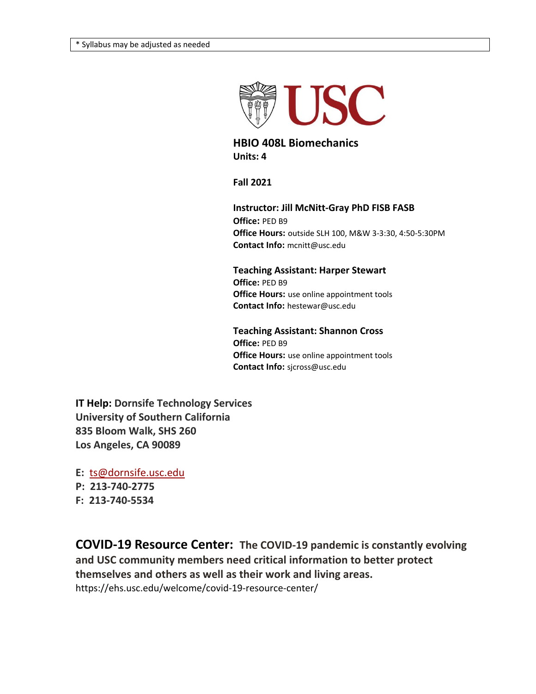

**HBIO 408L Biomechanics Units: 4**

**Fall 2021**

**Instructor: Jill McNitt-Gray PhD FISB FASB Office:** PED B9 **Office Hours:** outside SLH 100, M&W 3-3:30, 4:50-5:30PM **Contact Info:** mcnitt@usc.edu

**Teaching Assistant: Harper Stewart Office:** PED B9 **Office Hours:** use online appointment tools **Contact Info:** hestewar@usc.edu

**Teaching Assistant: Shannon Cross Office:** PED B9 **Office Hours:** use online appointment tools **Contact Info:** sjcross@usc.edu

**IT Help: Dornsife Technology Services University of Southern California 835 Bloom Walk, SHS 260 Los Angeles, CA 90089**

**E:** [ts@dornsife.usc.edu](mailto:ts@dornsife.usc.edu)

**P: 213-740-2775**

**F: 213-740-5534**

**COVID-19 Resource Center: The COVID-19 pandemic is constantly evolving and USC community members need critical information to better protect themselves and others as well as their work and living areas.** https://ehs.usc.edu/welcome/covid-19-resource-center/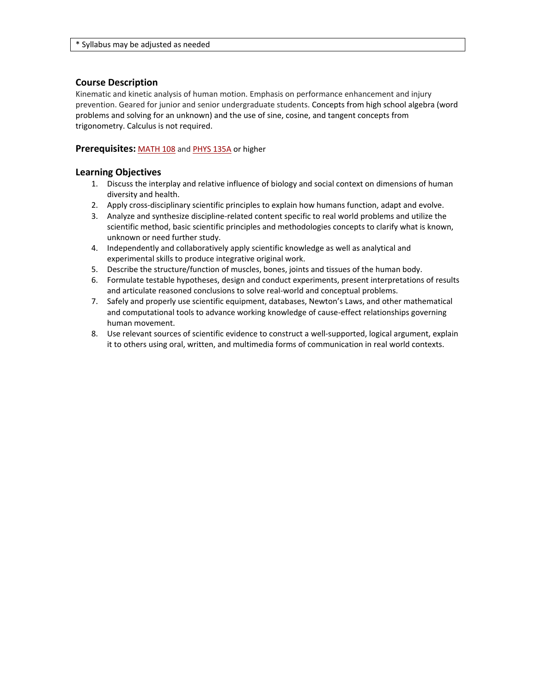### **Course Description**

Kinematic and kinetic analysis of human motion. Emphasis on performance enhancement and injury prevention. Geared for junior and senior undergraduate students. Concepts from high school algebra (word problems and solving for an unknown) and the use of sine, cosine, and tangent concepts from trigonometry. Calculus is not required.

#### **Prerequisites:** [MATH](https://classes.usc.edu/term-20203/course/math-108/) 108 and PHYS [135A](https://classes.usc.edu/term-20203/course/phys-135A/) or higher

#### **Learning Objectives**

- 1. Discuss the interplay and relative influence of biology and social context on dimensions of human diversity and health.
- 2. Apply cross-disciplinary scientific principles to explain how humans function, adapt and evolve.
- 3. Analyze and synthesize discipline-related content specific to real world problems and utilize the scientific method, basic scientific principles and methodologies concepts to clarify what is known, unknown or need further study.
- 4. Independently and collaboratively apply scientific knowledge as well as analytical and experimental skills to produce integrative original work.
- 5. Describe the structure/function of muscles, bones, joints and tissues of the human body.
- 6. Formulate testable hypotheses, design and conduct experiments, present interpretations of results and articulate reasoned conclusions to solve real-world and conceptual problems.
- 7. Safely and properly use scientific equipment, databases, Newton's Laws, and other mathematical and computational tools to advance working knowledge of cause-effect relationships governing human movement.
- 8. Use relevant sources of scientific evidence to construct a well-supported, logical argument, explain it to others using oral, written, and multimedia forms of communication in real world contexts.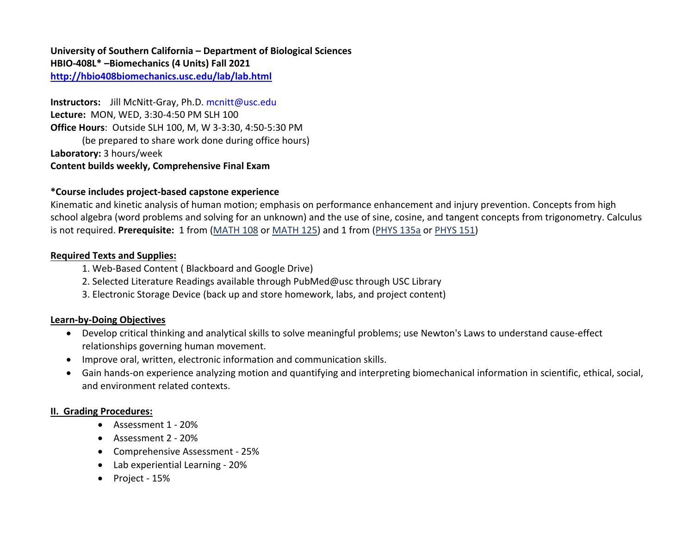**University of Southern California – Department of Biological Sciences HBIO-408L\* –Biomechanics (4 Units) Fall 2021 <http://hbio408biomechanics.usc.edu/lab/lab.html>**

**Instructors:** Jill McNitt-Gray, Ph.D. [mcnitt@usc.edu](mailto:hermosakat@yahoo.com) **Lecture:** MON, WED, 3:30-4:50 PM SLH 100 **Office Hours**: Outside SLH 100, M, W 3-3:30, 4:50-5:30 PM (be prepared to share work done during office hours) **Laboratory:** 3 hours/week **Content builds weekly, Comprehensive Final Exam**

## **\*Course includes project-based capstone experience**

Kinematic and kinetic analysis of human motion; emphasis on performance enhancement and injury prevention. Concepts from high school algebra (word problems and solving for an unknown) and the use of sine, cosine, and tangent concepts from trigonometry. Calculus is not required. **Prerequisite:** 1 from [\(MATH 108](http://web-app.usc.edu/soc/20133/math-108) or [MATH 125\)](http://web-app.usc.edu/soc/20133/math-125) and 1 from [\(PHYS 135a](http://web-app.usc.edu/soc/20133/phys-135a) or [PHYS 151\)](http://web-app.usc.edu/soc/20133/phys-151)

## **Required Texts and Supplies:**

- 1. Web-Based Content ( Blackboard and Google Drive)
- 2. Selected Literature Readings available through PubMed@usc through USC Library
- 3. Electronic Storage Device (back up and store homework, labs, and project content)

### **Learn-by-Doing Objectives**

- Develop critical thinking and analytical skills to solve meaningful problems; use Newton's Laws to understand cause-effect relationships governing human movement.
- Improve oral, written, electronic information and communication skills.
- Gain hands-on experience analyzing motion and quantifying and interpreting biomechanical information in scientific, ethical, social, and environment related contexts.

### **II. Grading Procedures:**

- Assessment 1 20%
- Assessment 2 20%
- Comprehensive Assessment 25%
- Lab experiential Learning 20%
- Project 15%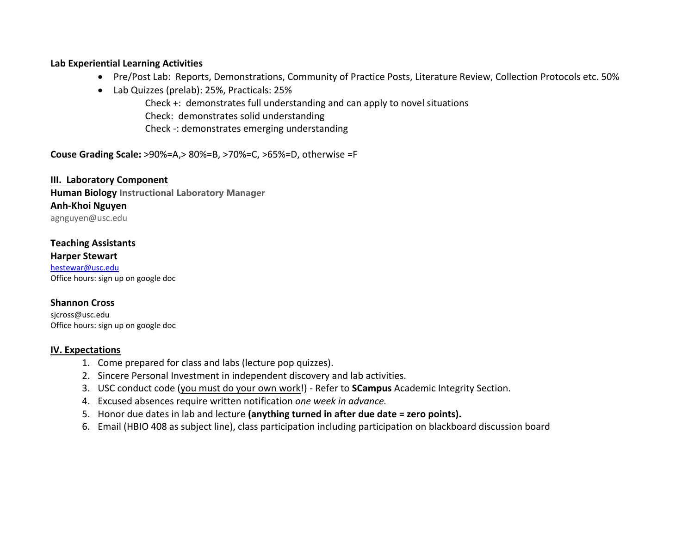### **Lab Experiential Learning Activities**

- Pre/Post Lab: Reports, Demonstrations, Community of Practice Posts, Literature Review, Collection Protocols etc. 50%
- Lab Quizzes (prelab): 25%, Practicals: 25%

Check +: demonstrates full understanding and can apply to novel situations Check: demonstrates solid understanding Check -: demonstrates emerging understanding

**Couse Grading Scale:** >90%=A,> 80%=B, >70%=C, >65%=D, otherwise =F

**III. Laboratory Component Human Biology Instructional Laboratory Manager Anh-Khoi Nguyen** agnguyen@usc.edu

## **Teaching Assistants**

**Harper Stewart** [hestewar@usc.edu](mailto:hestewar@usc.edu) Office hours: sign up on google doc

## **Shannon Cross**

sjcross@usc.edu Office hours: sign up on google doc

## **IV. Expectations**

- 1. Come prepared for class and labs (lecture pop quizzes).
- 2. Sincere Personal Investment in independent discovery and lab activities.
- 3. USC conduct code (you must do your own work!) Refer to **SCampus** Academic Integrity Section.
- 4. Excused absences require written notification *one week in advance.*
- 5. Honor due dates in lab and lecture **(anything turned in after due date = zero points).**
- 6. Email (HBIO 408 as subject line), class participation including participation on blackboard discussion board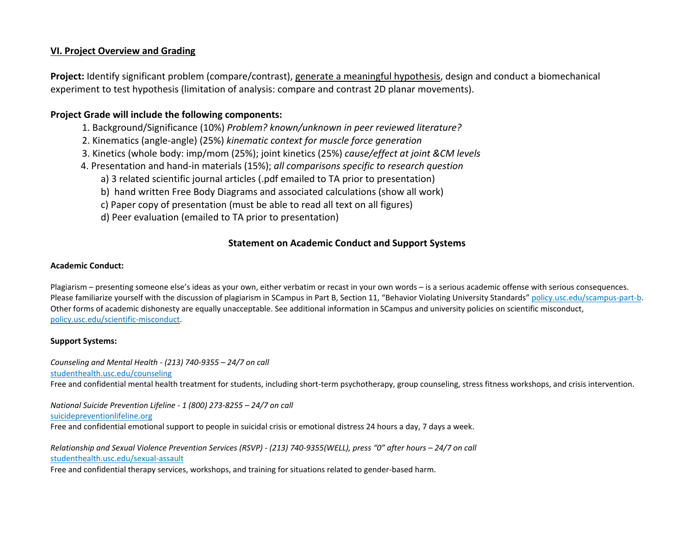### **VI. Project Overview and Grading**

**Project:** Identify significant problem (compare/contrast), generate a meaningful hypothesis, design and conduct a biomechanical experiment to test hypothesis (limitation of analysis: compare and contrast 2D planar movements).

## **Project Grade will include the following components:**

- 1. Background/Significance (10%) *Problem? known/unknown in peer reviewed literature?*
- 2. Kinematics (angle-angle) (25%) *kinematic context for muscle force generation*
- 3. Kinetics (whole body: imp/mom (25%); joint kinetics (25%) *cause/effect at joint &CM levels*
- 4. Presentation and hand-in materials (15%); *all comparisons specific to research question*
	- a) 3 related scientific journal articles (.pdf emailed to TA prior to presentation)
	- b) hand written Free Body Diagrams and associated calculations (show all work)
	- c) Paper copy of presentation (must be able to read all text on all figures)
	- d) Peer evaluation (emailed to TA prior to presentation)

## **Statement on Academic Conduct and Support Systems**

#### **Academic Conduct:**

Plagiarism – presenting someone else's ideas as your own, either verbatim or recast in your own words – is a serious academic offense with serious consequences. Please familiarize yourself with the discussion of plagiarism in SCampus in Part B, Section 11, "Behavior Violating University Standards" [policy.usc.edu/scampus-part-b.](https://policy.usc.edu/scampus-part-b/) Other forms of academic dishonesty are equally unacceptable. See additional information in SCampus and university policies on scientific misconduct, [policy.usc.edu/scientific-misconduct.](http://policy.usc.edu/scientific-misconduct)

#### **Support Systems:**

*Counseling and Mental Health - (213) 740-9355 – 24/7 on call* [studenthealth.usc.edu/counseling](https://studenthealth.usc.edu/counseling/) Free and confidential mental health treatment for students, including short-term psychotherapy, group counseling, stress fitness workshops, and crisis intervention.

*National Suicide Prevention Lifeline - 1 (800) 273-8255 – 24/7 on call* [suicidepreventionlifeline.org](http://www.suicidepreventionlifeline.org/) Free and confidential emotional support to people in suicidal crisis or emotional distress 24 hours a day, 7 days a week.

*Relationship and Sexual Violence Prevention Services (RSVP) - (213) 740-9355(WELL), press "0" after hours – 24/7 on call* [studenthealth.usc.edu/sexual-assault](https://studenthealth.usc.edu/sexual-assault/)

Free and confidential therapy services, workshops, and training for situations related to gender-based har[m.](https://engemannshc.usc.edu/rsvp/)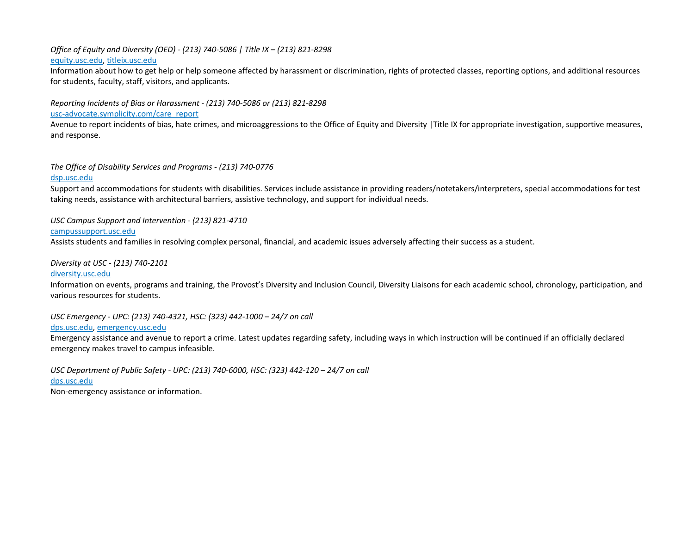#### *Office of Equity and Diversity (OED) - (213) 740-5086 | Title IX – (213) 821-8298* [equity.usc.edu,](https://equity.usc.edu/) [titleix.usc.edu](http://titleix.usc.edu/)

Information about how to get help or help someone affected by harassment or discrimination, rights of protected classes, reporting options, and additional resources for students, faculty, staff, visitors, and applicants.

*Reporting Incidents of Bias or Harassment - (213) 740-5086 or (213) 821-8298*

#### [usc-advocate.symplicity.com/care\\_report](https://usc-advocate.symplicity.com/care_report/)

Avenue to report incidents of bias, hate crimes, and microaggressions to the Office of Equity and Diversity |Title IX for appropriate investigation, supportive measures, and respons[e.](https://studentaffairs.usc.edu/bias-assessment-response-support/)

#### *The Office of Disability Services and Programs - (213) 740-0776*

#### [dsp.usc.edu](http://dsp.usc.edu/)

Support and accommodations for students with disabilities. Services include assistance in providing readers/notetakers/interpreters, special accommodations for test taking needs, assistance with architectural barriers, assistive technology, and support for individual needs.

#### *USC Campus Support and Intervention - (213) 821-4710*

#### [campussupport.usc.edu](https://campussupport.usc.edu/)

Assists students and families in resolving complex personal, financial, and academic issues adversely affecting their success as a student.

#### *Diversity at USC - (213) 740-2101*

#### [diversity.usc.edu](https://diversity.usc.edu/)

Information on events, programs and training, the Provost's Diversity and Inclusion Council, Diversity Liaisons for each academic school, chronology, participation, and various resources for students[.](https://diversity.usc.edu/) 

*USC Emergency - UPC: (213) 740-4321, HSC: (323) 442-1000 – 24/7 on call* 

#### [dps.usc.edu,](http://dps.usc.edu/) [emergency.usc.edu](http://emergency.usc.edu/)

Emergency assistance and avenue to report a crime. Latest updates regarding safety, including ways in which instruction will be continued if an officially declared emergency makes travel to campus infeasible.

*USC Department of Public Safety - UPC: (213) 740-6000, HSC: (323) 442-120 – 24/7 on call*  [dps.usc.edu](http://dps.usc.edu/) Non-emergency assistance or information.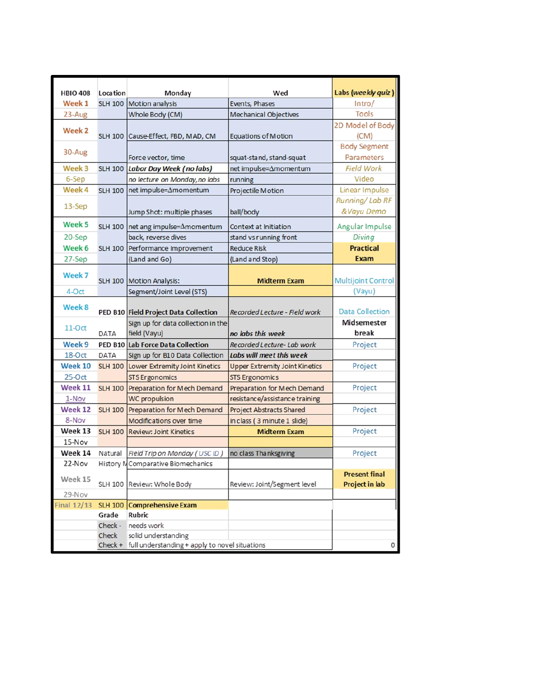| <b>HBIO 408</b> | Location       | Monday                                                 | Wed                                   | Labs (weekly quiz)        |
|-----------------|----------------|--------------------------------------------------------|---------------------------------------|---------------------------|
| Week 1          | <b>SLH 100</b> | Motion analysis                                        | Events, Phases                        | Intro/                    |
| $23-Aug$        |                | Whole Body (CM)                                        | Mechanical Objectives                 | Tools                     |
|                 |                |                                                        |                                       | 2D Model of Body          |
| Week 2          |                | SLH 100 Cause-Effect, FBD, MAD, CM                     | <b>Equations of Motion</b>            | (CM)                      |
|                 |                |                                                        |                                       | <b>Body Segment</b>       |
| 30-Aug          |                | Force vector, time                                     | squat-stand, stand-squat              | Parameters                |
| Week 3          | <b>SLH 100</b> | Labor Day Week (no labs)                               | net impulse=Amomentum                 | Field Work                |
| 6-Sep           |                | no lecture on Monday, no labs                          | running                               | Video                     |
| Week 4          | <b>SLH 100</b> | net impulse=Amomentum                                  | Projectile Motion                     | Linear Impulse            |
|                 |                |                                                        |                                       | Running/Lab RF            |
| 13-Sep          |                | Jump Shot: multiple phases                             | ball/body                             | &Vayu Demo                |
| Week 5          | <b>SLH 100</b> | net ang impulse=Amomentum                              | Context at Initiation                 | Angular Impulse           |
| 20-Sep          |                | back, reverse dives                                    | stand vs running front                | Diving                    |
| Week 6          |                | SLH 100 Performance Improvement                        | <b>Reduce Risk</b>                    | <b>Practical</b>          |
| 27-Sep          |                | (Land and Go)                                          | (Land and Stop)                       | Exam                      |
|                 |                |                                                        |                                       |                           |
| Week 7          | <b>SLH 100</b> | Motion Analysis:                                       | <b>Midterm Exam</b>                   | <b>Multijoint Control</b> |
| 4-Oct           |                | Segment/Joint Level (STS)                              |                                       | (Vayu)                    |
| Week 8          |                | PED B10 Field Project Data Collection                  | Recorded Lecture - Field work         | <b>Data Collection</b>    |
| $11-Oct$        | DATA           | Sign up for data collection in the                     |                                       | <b>Midsemester</b>        |
|                 |                | field (Vayu)                                           | no labs this week                     | break                     |
| Week 9          |                | <b>PED B10 Lab Force Data Collection</b>               | Recorded Lecture- Lab work            | Project                   |
| $18-Oct$        | DATA           | Sign up for B10 Data Collection                        | Labs will meet this week              |                           |
| <b>Week 10</b>  | <b>SLH 100</b> | Lower Extremity Joint Kinetics                         | <b>Upper Extremity Joint Kinetics</b> | Project                   |
| $25-0ct$        |                | <b>STS Ergonomics</b>                                  | <b>STS Ergonomics</b>                 |                           |
| Week 11         | <b>SLH 100</b> | Preparation for Mech Demand                            | <b>Preparation for Mech Demand</b>    | Project                   |
| 1-Nov           |                | <b>WC</b> propulsion                                   | resistance/assistance training        |                           |
| Week 12         | <b>SLH 100</b> | Preparation for Mech Demand                            | <b>Project Abstracts Shared</b>       | Project                   |
| 8-Nov           |                | Modifications over time                                | in class (3 minute 1 slide)           |                           |
| Week 13         | <b>SLH 100</b> | <b>Review: Joint Kinetics</b>                          | <b>Midterm Exam</b>                   | Project                   |
| 15-Nov          |                |                                                        |                                       |                           |
| Week 14         | Natural        | Field Trip on Monday (USC ID)                          | no class Thanksgiving                 | Project                   |
| 22-Nov          |                | History MComparative Biomechanics                      |                                       |                           |
| Week 15         |                |                                                        |                                       | <b>Present final</b>      |
|                 |                | SLH 100 Review: Whole Body                             | Review: Joint/Segment level           | <b>Project in lab</b>     |
| 29-Nov          |                |                                                        |                                       |                           |
| Final $12/13$   | Grade          | SLH 100 Comprehensive Exam<br>Rubric                   |                                       |                           |
|                 |                | Check - needs work                                     |                                       |                           |
|                 | Check          | solid understanding                                    |                                       |                           |
|                 |                | Check + full understanding + apply to novel situations |                                       | 0                         |